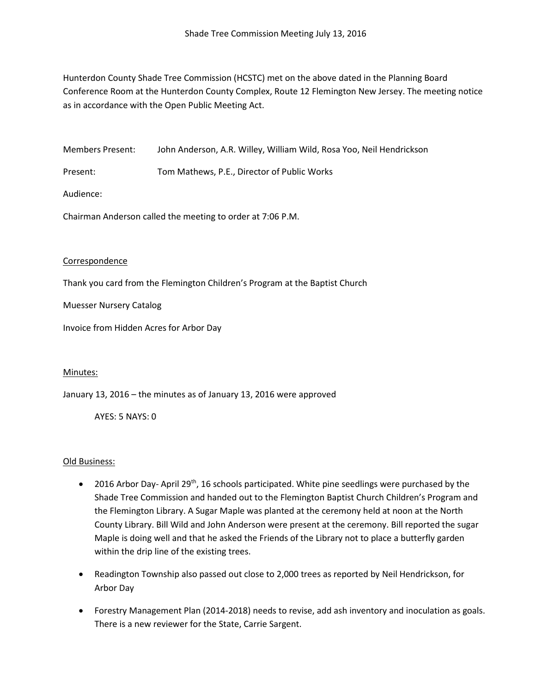Hunterdon County Shade Tree Commission (HCSTC) met on the above dated in the Planning Board Conference Room at the Hunterdon County Complex, Route 12 Flemington New Jersey. The meeting notice as in accordance with the Open Public Meeting Act.

Members Present: John Anderson, A.R. Willey, William Wild, Rosa Yoo, Neil Hendrickson

Present: Tom Mathews, P.E., Director of Public Works

Audience:

Chairman Anderson called the meeting to order at 7:06 P.M.

### Correspondence

Thank you card from the Flemington Children's Program at the Baptist Church

Muesser Nursery Catalog

Invoice from Hidden Acres for Arbor Day

### Minutes:

January 13, 2016 – the minutes as of January 13, 2016 were approved

AYES: 5 NAYS: 0

### Old Business:

- 2016 Arbor Day- April 29<sup>th</sup>, 16 schools participated. White pine seedlings were purchased by the Shade Tree Commission and handed out to the Flemington Baptist Church Children's Program and the Flemington Library. A Sugar Maple was planted at the ceremony held at noon at the North County Library. Bill Wild and John Anderson were present at the ceremony. Bill reported the sugar Maple is doing well and that he asked the Friends of the Library not to place a butterfly garden within the drip line of the existing trees.
- Readington Township also passed out close to 2,000 trees as reported by Neil Hendrickson, for Arbor Day
- Forestry Management Plan (2014-2018) needs to revise, add ash inventory and inoculation as goals. There is a new reviewer for the State, Carrie Sargent.